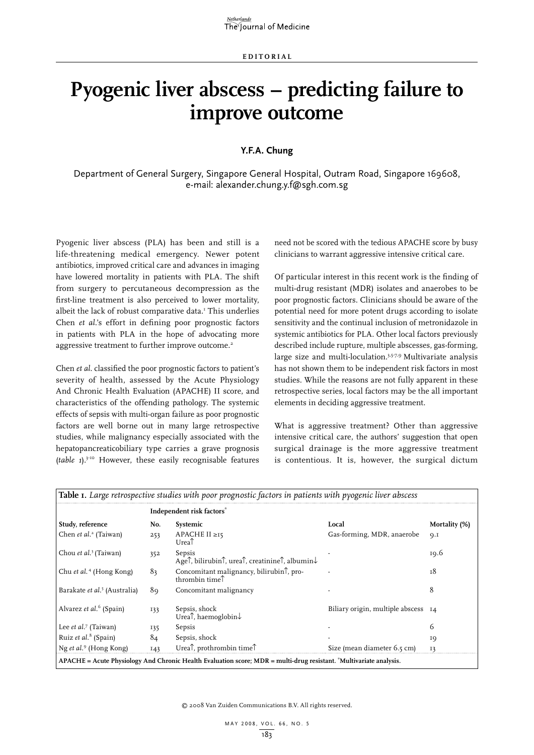## **Pyogenic liver abscess – predicting failure to improve outcome**

## **Y.F.A. Chung**

Department of General Surgery, Singapore General Hospital, Outram Road, Singapore 169608, e-mail: alexander.chung.y.f@sgh.com.sg

Pyogenic liver abscess (PLA) has been and still is a life-threatening medical emergency. Newer potent antibiotics, improved critical care and advances in imaging have lowered mortality in patients with PLA. The shift from surgery to percutaneous decompression as the first-line treatment is also perceived to lower mortality, albeit the lack of robust comparative data.<sup>1</sup> This underlies Chen *et al*.'s effort in defining poor prognostic factors in patients with PLA in the hope of advocating more aggressive treatment to further improve outcome.<sup>2</sup>

Chen *et al.* classified the poor prognostic factors to patient's severity of health, assessed by the Acute Physiology And Chronic Health Evaluation (APACHE) II score, and characteristics of the offending pathology. The systemic effects of sepsis with multi-organ failure as poor prognostic factors are well borne out in many large retrospective studies, while malignancy especially associated with the hepatopancreaticobiliary type carries a grave prognosis (*table 1*).3-10 However, these easily recognisable features need not be scored with the tedious APACHE score by busy clinicians to warrant aggressive intensive critical care.

Of particular interest in this recent work is the finding of multi-drug resistant (MDR) isolates and anaerobes to be poor prognostic factors. Clinicians should be aware of the potential need for more potent drugs according to isolate sensitivity and the continual inclusion of metronidazole in systemic antibiotics for PLA. Other local factors previously described include rupture, multiple abscesses, gas-forming, large size and multi-loculation.3,5-7,9 Multivariate analysis has not shown them to be independent risk factors in most studies. While the reasons are not fully apparent in these retrospective series, local factors may be the all important elements in deciding aggressive treatment.

What is aggressive treatment? Other than aggressive intensive critical care, the authors' suggestion that open surgical drainage is the more aggressive treatment is contentious. It is, however, the surgical dictum

| Table I. Large retrospective studies with poor prognostic factors in patients with pyogenic liver abscess            |                           |                                                                                                         |                                     |               |
|----------------------------------------------------------------------------------------------------------------------|---------------------------|---------------------------------------------------------------------------------------------------------|-------------------------------------|---------------|
|                                                                                                                      | Independent risk factors* |                                                                                                         |                                     |               |
| Study, reference                                                                                                     | No.                       | Systemic                                                                                                | Local                               | Mortality (%) |
| Chen et al. <sup>2</sup> (Taiwan)                                                                                    | 253                       | APACHE II ≥15<br>Urea <sup>T</sup>                                                                      | Gas-forming, MDR, anaerobe          | Q.I           |
| Chou et al. <sup>3</sup> (Taiwan)                                                                                    | 352                       | Sepsis<br>Age f, bilirubin f, urea f, creatinine f, albumin ↓                                           |                                     | 19.6          |
| Chu et al. <sup>4</sup> (Hong Kong)                                                                                  | 83                        | Concomitant malignancy, bilirubin <sup><math>\uparrow</math></sup> , pro-<br>thrombin time <sup>1</sup> |                                     | т8            |
| Barakate et al. <sup>5</sup> (Australia)                                                                             | 89                        | Concomitant malignancy                                                                                  |                                     | 8             |
| Alvarez et al. <sup>6</sup> (Spain)                                                                                  | 133                       | Sepsis, shock<br>Urea <sup><math>\uparrow</math></sup> , haemoglobin $\downarrow$                       | Biliary origin, multiple abscess 14 |               |
| Lee <i>et al.</i> <sup>7</sup> (Taiwan)                                                                              | 135                       | Sepsis                                                                                                  |                                     | 6             |
| Ruiz et al. <sup>8</sup> (Spain)                                                                                     | 84                        | Sepsis, shock                                                                                           |                                     | 19            |
| Ng et al. <sup>9</sup> (Hong Kong)                                                                                   | 143                       | Urea <sup><math>\uparrow</math></sup> , prothrombin time $\uparrow$                                     | Size (mean diameter 6.5 cm)         | 13            |
| $APACHE = Acute Physiology And Chronic Health Evaluation score; MDR = multi-drug resistant. "Multivariate analysis.$ |                           |                                                                                                         |                                     |               |

© 2008 Van Zuiden Communications B.V. All rights reserved.